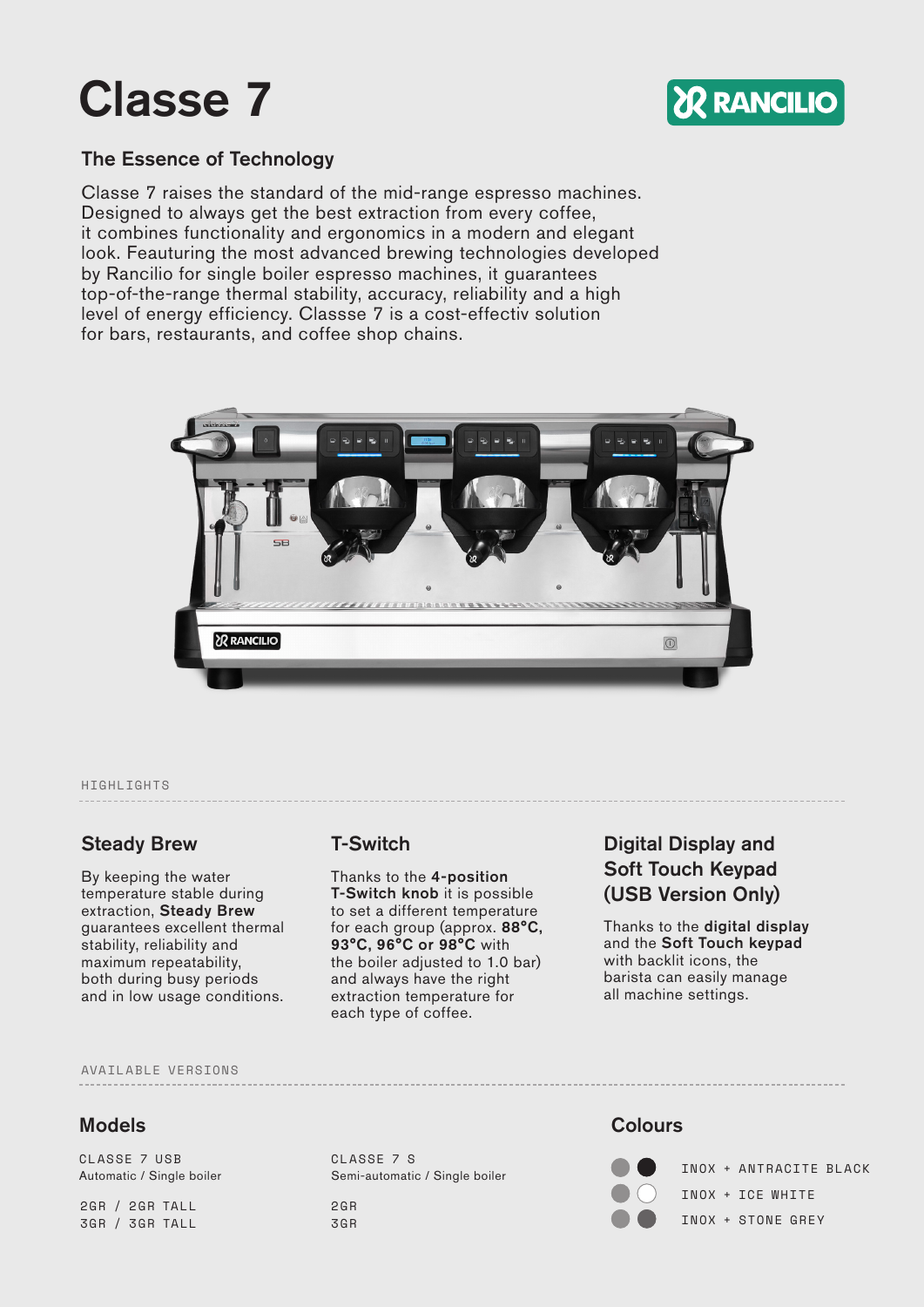# Classe 7



### The Essence of Technology

Classe 7 raises the standard of the mid-range espresso machines. Designed to always get the best extraction from every coffee, it combines functionality and ergonomics in a modern and elegant look. Feauturing the most advanced brewing technologies developed by Rancilio for single boiler espresso machines, it guarantees top-of-the-range thermal stability, accuracy, reliability and a high level of energy efficiency. Classse 7 is a cost-effectiv solution for bars, restaurants, and coffee shop chains.



#### HIGHLIGHTS

By keeping the water temperature stable during extraction, Steady Brew guarantees excellent thermal stability, reliability and maximum repeatability, both during busy periods and in low usage conditions.

Thanks to the 4-position T-Switch knob it is possible to set a different temperature for each group (approx. 88°C, 93°C, 96°C or 98°C with the boiler adjusted to 1.0 bar) and always have the right extraction temperature for each type of coffee.

## Steady Brew T-Switch Digital Display and Soft Touch Keypad (USB Version Only)

Thanks to the digital display and the Soft Touch keypad with backlit icons, the barista can easily manage all machine settings.

#### AVAILABLE VERSIONS

#### **Models** Colours Colours Colours Colours Colours Colours Colours Colours Colours Colours Colours Colours Colours

CLASSE 7 USB CLASSE 7 S

2GR / 2GR TALL 3GR / 3GR TALL

Automatic / Single boiler Semi-automatic / Single boiler

2GR 3GR